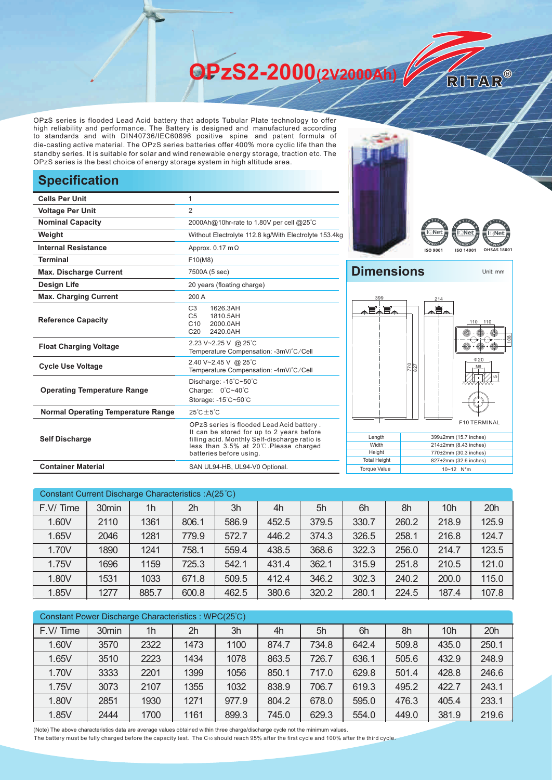**OPzS2-2000(2V2000Ah)** 

OPzS series is flooded Lead Acid battery that adopts Tubular Plate technology to offer high reliability and performance. The Battery is designed and manufactured according to standards and with DIN40736/IEC60896 positive spine and patent formula of die-casting active material. The OPzS series batteries offer 400% more cyclic life than the standby series. It is suitable for solar and wind renewable energy storage, traction etc. The OPzS series is the best choice of energy storage system in high altitude area.

## **Specification**

| <b>Cells Per Unit</b>                     | 1                                                                                                                                                                                                           |  |  |  |  |  |
|-------------------------------------------|-------------------------------------------------------------------------------------------------------------------------------------------------------------------------------------------------------------|--|--|--|--|--|
| <b>Voltage Per Unit</b>                   | $\overline{2}$                                                                                                                                                                                              |  |  |  |  |  |
| <b>Nominal Capacity</b>                   | 2000Ah@10hr-rate to 1.80V per cell @25°C                                                                                                                                                                    |  |  |  |  |  |
| Weight                                    | Without Electrolyte 112.8 kg/With Electrolyte 153.4kg                                                                                                                                                       |  |  |  |  |  |
| <b>Internal Resistance</b>                | Approx. $0.17 \text{ m}\Omega$                                                                                                                                                                              |  |  |  |  |  |
| <b>Terminal</b>                           | F10(M8)                                                                                                                                                                                                     |  |  |  |  |  |
| <b>Max. Discharge Current</b>             | 7500A (5 sec)                                                                                                                                                                                               |  |  |  |  |  |
| Design Life                               | 20 years (floating charge)                                                                                                                                                                                  |  |  |  |  |  |
| <b>Max. Charging Current</b>              | 200 A                                                                                                                                                                                                       |  |  |  |  |  |
| <b>Reference Capacity</b>                 | C <sub>3</sub><br>1626.3AH<br>1810.5AH<br>C <sub>5</sub><br>C <sub>10</sub><br>2000.0AH<br>2420.0AH<br>C <sub>20</sub>                                                                                      |  |  |  |  |  |
| <b>Float Charging Voltage</b>             | 2.23 V~2.25 V @ 25°C<br>Temperature Compensation: -3mV/°C/Cell                                                                                                                                              |  |  |  |  |  |
| <b>Cycle Use Voltage</b>                  | 2.40 V~2.45 V @ 25°C<br>Temperature Compensation: -4mV/°C/Cell                                                                                                                                              |  |  |  |  |  |
| <b>Operating Temperature Range</b>        | Discharge: -15°C~50°C<br>Charge: 0°C~40°C<br>Storage: -15°C~50°C                                                                                                                                            |  |  |  |  |  |
| <b>Normal Operating Temperature Range</b> | $25^{\circ}$ C + 5 $^{\circ}$ C                                                                                                                                                                             |  |  |  |  |  |
| <b>Self Discharge</b>                     | OPzS series is flooded Lead Acid battery.<br>It can be stored for up to 2 years before<br>filling acid. Monthly Self-discharge ratio is<br>less than 3.5% at 20°C.Please charged<br>batteries before using. |  |  |  |  |  |
| <b>Container Material</b>                 | SAN UL94-HB, UL94-V0 Optional.                                                                                                                                                                              |  |  |  |  |  |





RITAR®

## **Dimensions** Unit: mm



| Constant Current Discharge Characteristics: A(25°C) |       |       |       |       |       |       |       |       |                 |       |
|-----------------------------------------------------|-------|-------|-------|-------|-------|-------|-------|-------|-----------------|-------|
| F.V/Time                                            | 30min | 1h    | 2h    | 3h    | 4h    | 5h    | 6h    | 8h    | 10 <sub>h</sub> | 20h   |
| 1.60V                                               | 2110  | 1361  | 806.1 | 586.9 | 452.5 | 379.5 | 330.7 | 260.2 | 218.9           | 125.9 |
| 1.65V                                               | 2046  | 1281  | 779.9 | 572.7 | 446.2 | 374.3 | 326.5 | 258.1 | 216.8           | 124.7 |
| 1.70V                                               | 1890  | 1241  | 758.1 | 559.4 | 438.5 | 368.6 | 322.3 | 256.0 | 214.7           | 123.5 |
| 1.75V                                               | 1696  | 1159  | 725.3 | 542.1 | 431.4 | 362.1 | 315.9 | 251.8 | 210.5           | 121.0 |
| 1.80V                                               | 1531  | 1033  | 671.8 | 509.5 | 412.4 | 346.2 | 302.3 | 240.2 | 200.0           | 115.0 |
| 1.85V                                               | 1277  | 885.7 | 600.8 | 462.5 | 380.6 | 320.2 | 280.1 | 224.5 | 187.4           | 107.8 |

| Constant Power Discharge Characteristics: WPC(25°C) |       |      |      |       |       |       |       |       |                 |       |
|-----------------------------------------------------|-------|------|------|-------|-------|-------|-------|-------|-----------------|-------|
| F.V/Time                                            | 30min | 1h   | 2h   | 3h    | 4h    | 5h    | 6h    | 8h    | 10 <sub>h</sub> | 20h   |
| 1.60V                                               | 3570  | 2322 | 1473 | 1100  | 874.7 | 734.8 | 642.4 | 509.8 | 435.0           | 250.1 |
| 1.65V                                               | 3510  | 2223 | 1434 | 1078  | 863.5 | 726.7 | 636.1 | 505.6 | 432.9           | 248.9 |
| 1.70V                                               | 3333  | 2201 | 1399 | 1056  | 850.1 | 717.0 | 629.8 | 501.4 | 428.8           | 246.6 |
| 1.75V                                               | 3073  | 2107 | 1355 | 1032  | 838.9 | 706.7 | 619.3 | 495.2 | 422.7           | 243.1 |
| 1.80V                                               | 2851  | 1930 | 1271 | 977.9 | 804.2 | 678.0 | 595.0 | 476.3 | 405.4           | 233.1 |
| 1.85V                                               | 2444  | 1700 | 1161 | 899.3 | 745.0 | 629.3 | 554.0 | 449.0 | 381.9           | 219.6 |

(Note) The above characteristics data are average values obtained within three charge/discharge cycle not the minimum values.

The battery must be fully charged before the capacity test. The C10 should reach 95% after the first cycle and 100% after the third cycle.